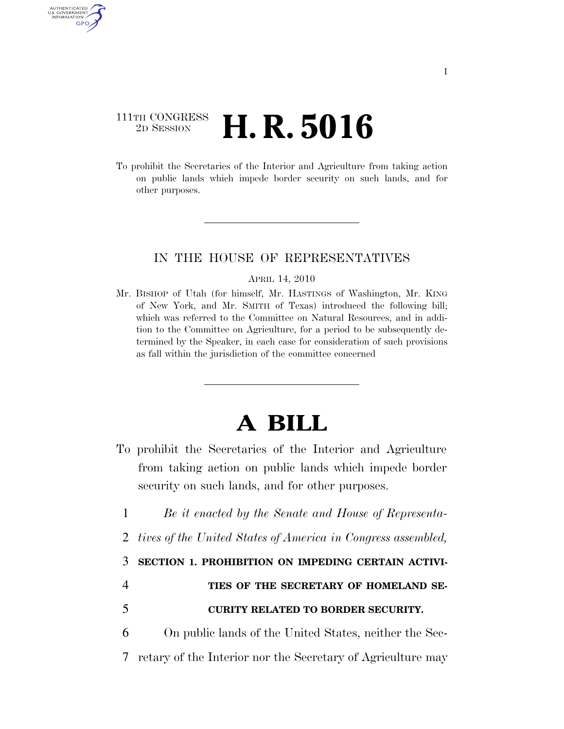## 111TH CONGRESS <sup>2D SESSION</sup> **H. R. 5016**

AUTHENTICATED U.S. GOVERNMENT GPO

> To prohibit the Secretaries of the Interior and Agriculture from taking action on public lands which impede border security on such lands, and for other purposes.

## IN THE HOUSE OF REPRESENTATIVES

## APRIL 14, 2010

Mr. BISHOP of Utah (for himself, Mr. HASTINGS of Washington, Mr. KING of New York, and Mr. SMITH of Texas) introduced the following bill; which was referred to the Committee on Natural Resources, and in addition to the Committee on Agriculture, for a period to be subsequently determined by the Speaker, in each case for consideration of such provisions as fall within the jurisdiction of the committee concerned

## **A BILL**

- To prohibit the Secretaries of the Interior and Agriculture from taking action on public lands which impede border security on such lands, and for other purposes.
	- 1 *Be it enacted by the Senate and House of Representa-*
- 2 *tives of the United States of America in Congress assembled,*

3 **SECTION 1. PROHIBITION ON IMPEDING CERTAIN ACTIVI-**

- 4 **TIES OF THE SECRETARY OF HOMELAND SE-**5 **CURITY RELATED TO BORDER SECURITY.**
- 6 On public lands of the United States, neither the Sec-7 retary of the Interior nor the Secretary of Agriculture may